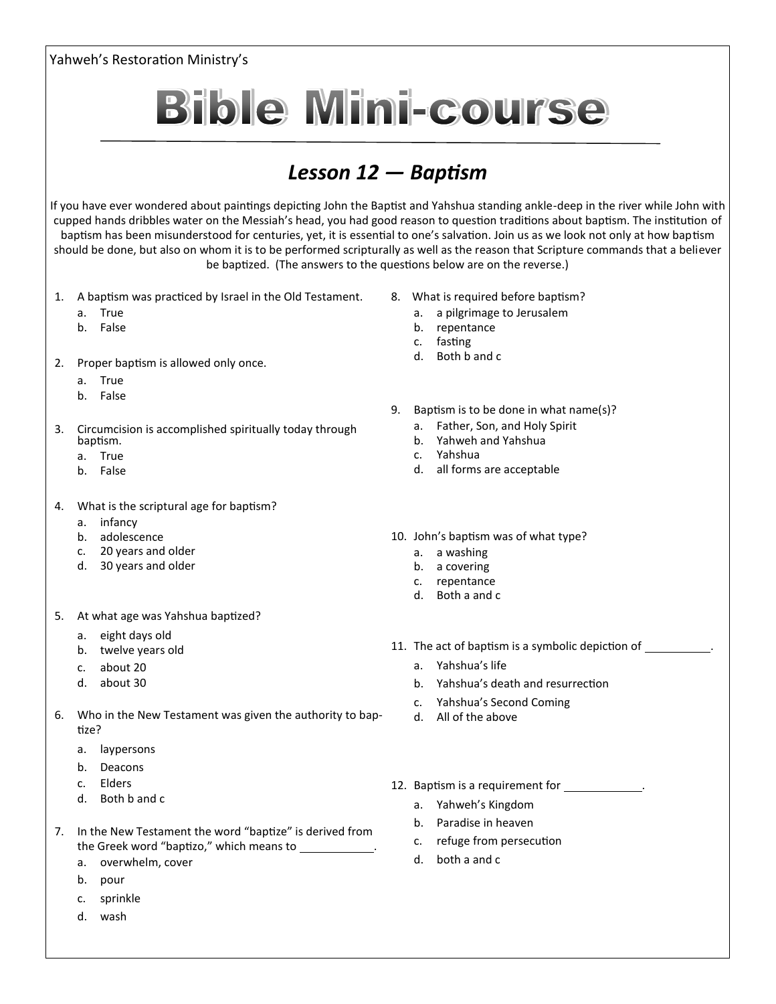## Yahweh's Restoration Ministry's



## *Lesson 12 — Baptism*

If you have ever wondered about paintings depicting John the Baptist and Yahshua standing ankle-deep in the river while John with cupped hands dribbles water on the Messiah's head, you had good reason to question traditions about baptism. The institution of baptism has been misunderstood for centuries, yet, it is essential to one's salvation. Join us as we look not only at how baptism should be done, but also on whom it is to be performed scripturally as well as the reason that Scripture commands that a believer be baptized. (The answers to the questions below are on the reverse.)

- 1. A baptism was practiced by Israel in the Old Testament.
	- a. True
	- b. False
- 2. Proper baptism is allowed only once.
	- a. True
	- b. False
- 3. Circumcision is accomplished spiritually today through baptism.
	- a. True
	- b. False
- 4. What is the scriptural age for baptism?
	- a. infancy
	- b. adolescence
	- c. 20 years and older
	- d. 30 years and older
- 5. At what age was Yahshua baptized?
	- a. eight days old
	- b. twelve years old
	- c. about 20
	- d. about 30
- 6. Who in the New Testament was given the authority to baptize?
	- a. laypersons
	- b. Deacons
	- c. Elders
	- d. Both b and c
- 7. In the New Testament the word "baptize" is derived from the Greek word "baptizo," which means to .
	- a. overwhelm, cover
	- b. pour
	- c. sprinkle
	- d. wash
- 8. What is required before baptism?
	- a. a pilgrimage to Jerusalem
	- b. repentance
	- c. fasting
	- d. Both b and c
- 9. Baptism is to be done in what name(s)?
	- a. Father, Son, and Holy Spirit
	- b. Yahweh and Yahshua
	- c. Yahshua
	- d. all forms are acceptable
- 10. John's baptism was of what type?
	- a. a washing
	- b. a covering
	- c. repentance
	- d. Both a and c
- 11. The act of baptism is a symbolic depiction of \_\_\_\_\_\_\_\_\_\_.
	- a. Yahshua's life
	- b. Yahshua's death and resurrection
	- c. Yahshua's Second Coming
	- d. All of the above
- 12. Baptism is a requirement for .
	- a. Yahweh's Kingdom
	- b. Paradise in heaven
	- c. refuge from persecution
	- d. both a and c